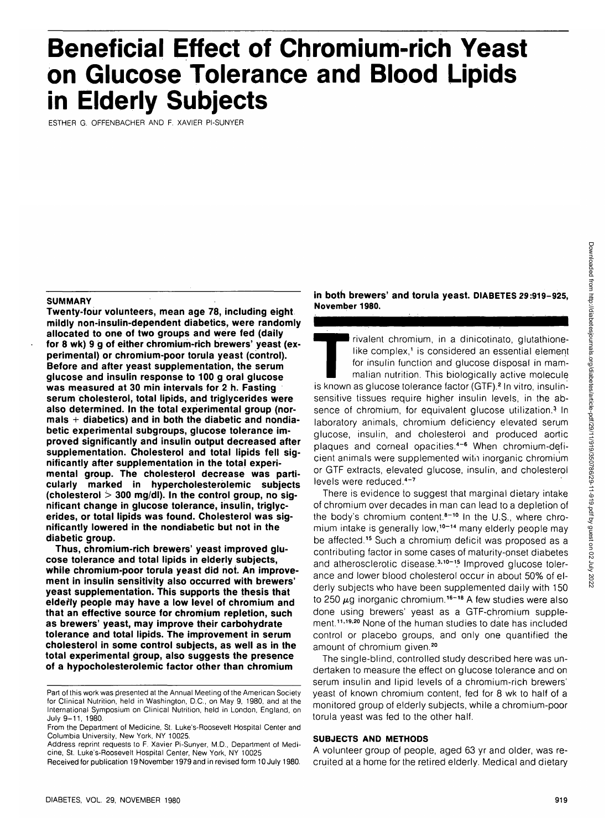# **Beneficial Effect of Chromium-rich Yeast on Glucose Tolerance and Blood Lipids in Elderly Subjects**

ESTHER G. OFFENBACHER AND F. XAVIER PI-SUNYER

#### **SUMMARY**

**Twenty-four volunteers, mean age 78, including eight mildly non-insulin-dependent diabetics, were randomly allocated to one of two groups and were fed (daily for 8 wk) 9 g of either chromium-rich brewers' yeast (experimental) or chromium-poor torula yeast (control). Before and after yeast supplementation, the serum glucose and insulin response to 100 g oral glucose was measured at 30 min intervals for 2 h. Fasting serum cholesterol, total lipids, and triglycerides were also determined. In the total experimental group (normals + diabetics) and in both the diabetic and nondiabetic experimental subgroups, glucose tolerance improved significantly and insulin output decreased after supplementation. Cholesterol and total lipids fell significantly after supplementation in the total experimental group. The cholesterol decrease was particularly marked in hypercholesterolemic subjects (cholesterol > 300 mg/dl). In the control group, no significant change in glucose tolerance, insulin, triglycerides, or total lipids was found. Cholesterol was significantly lowered in the nondiabetic but not in the diabetic group.**

**Thus, chromium-rich brewers' yeast improved glucose tolerance and total lipids in elderly subjects, while chromium-poor torula yeast did not. An improvement in insulin sensitivity also occurred with brewers' yeast supplementation. This supports the thesis that elderly people may have a low level of chromium and that an effective source for chromjum repletion, such as brewers' yeast, may improve their carbohydrate tolerance and total lipids. The improvement in serum cholesterol in some control subjects, as well as in the total experimental group, also suggests the presence of a hypocholesterolemic factor other than chromium**

**in both brewers' and torula yeast. DIABETES 29:919-925, November 1980.**

Trivalent chromium, in a dinicotinato, glutathione-<br>like complex,' is considered an essential element<br>for insulin function and glucose disposal in mam-<br>malian nutrition. This biologically active molecule<br>is known as glucos like complex,<sup>1</sup> is considered an essential element for insulin function and glucose disposal in mammalian nutrition. This biologically active molecule is known as glucose tolerance factor (GTF).<sup>2</sup> In vitro, insulinsensitive tissues require higher insulin levels, in the absence of chromium, for equivalent glucose utilization.<sup>3</sup> In laboratory animals, chromium deficiency elevated serum glucose, insulin, and cholesterol and produced aortic plaques and corneal opacities.<sup>4</sup> " 6 When chromium-deficient animals were supplemented witn inorganic chromium or GTF extracts, elevated glucose, insulin, and cholesterol er om enhangig eigeant

There is evidence to suggest that marginal dietary intake of chromium over decades in man can lead to a depletion of the body's chromium content.<sup>8-10</sup> In the U.S., where chromium intake is generally low,<sup>10-14</sup> many elderly people may be affected.<sup>15</sup> Such a chromium deficit was proposed as a contributing factor in some cases of maturity-onset diabetes and atherosclerotic disease.<sup>3,10-15</sup> Improved glucose tolerance and lower blood cholesterol occur in about 50% of elderly subjects who have been supplemented daily with 150 to 250  $\mu$ g inorganic chromium.<sup>16-18</sup> A few studies were also done using brewers' yeast as a GTF-chromium supplement.<sup>11,19,20</sup> None of the human studies to date has included control or placebo groups, and only one quantified the amount of chromium given.<sup>20</sup>

The single-blind, controlled study described here was undertaken to measure the effect on glucose tolerance and on serum insulin and lipid levels of a chromium-rich brewers' yeast of known chromium content, fed for 8 wk to half of a monitored group of elderly subjects, while a chromium-poor torula yeast was fed to the other half.

# **SUBJECTS AND METHODS**

A volunteer group of people, aged 63 yr and older, was recruited at a home for the retired elderly. Medical and dietary

Part of this work was presented at the Annual Meeting of the American Society for Clinical Nutrition, held in Washington, D.C., on May 9, 1980, and at the International Symposium on Clinical Nutrition, held in London, England, on July 9-11, 1980.

From the Department of Medicine, St. Luke's-Roosevelt Hospital Center and Columbia University, New York, NY 10025.

Address reprint requests to F. Xavier Pi-Sunyer, M.D., Department of Medicine, St. Luke's-Roosevelt Hospital Center, New York, NY 10025

Received for publication 19 November 1979 and in revised form 10 July 1980.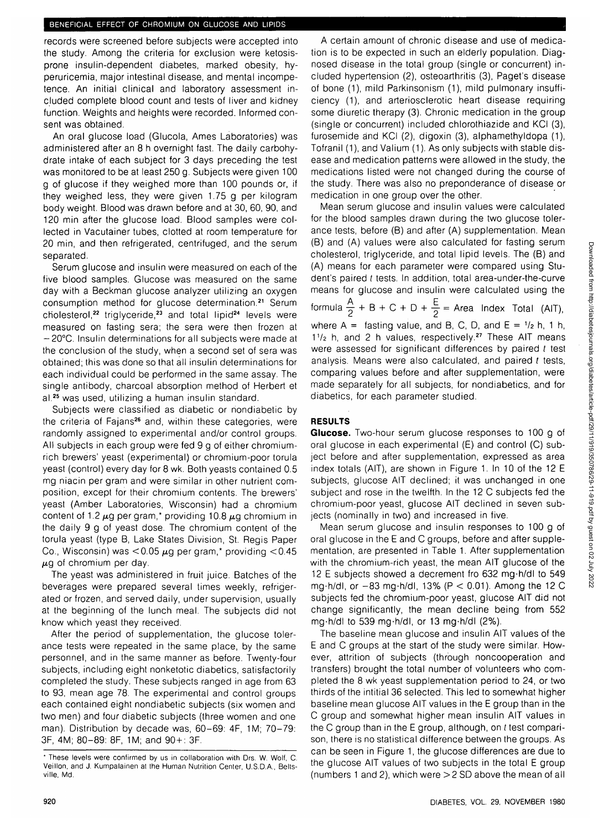### BENEFICIAL EFFECT OF CHROMIUM ON GLUCOSE AND LIPIDS

records were screened before subjects were accepted into the study. Among the criteria for exclusion were ketosisprone insulin-dependent diabetes, marked obesity, hyperuricemia, major intestinal disease, and mental incompetence. An initial clinical and laboratory assessment included complete blood count and tests of liver and kidney function. Weights and heights were recorded. Informed consent was obtained.

An oral glucose load (Glucola, Ames Laboratories) was administered after an 8 h overnight fast. The daily carbohydrate intake of each subject for 3 days preceding the test was monitored to be at least 250 g. Subjects were given 100 g of glucose if they weighed more than 100 pounds or, if they weighed less, they were given 1.75 g per kilogram body weight. Blood was drawn before and at 30, 60, 90, and 120 min after the glucose load. Blood samples were collected in Vacutainer tubes, clotted at room temperature for 20 min, and then refrigerated, centrifuged, and the serum separated.

Serum glucose and insulin were measured on each of the five blood samples. Glucose was measured on the same day with a Beckman glucose analyzer utilizing an oxygen consumption method for glucose determination.<sup>21</sup> Serum cholesterol,<sup>22</sup> triglyceride,<sup>23</sup> and total lipid<sup>24</sup> levels were measured on fasting sera; the sera were then frozen at - 20°C. Insulin determinations for all subjects were made at the conclusion of the study, when a second set of sera was obtained; this was done so that all insulin determinations for each individual could be performed in the same assay. The single antibody, charcoal absorption method of Herbert et al.<sup>25</sup> was used, utilizing a human insulin standard.

Subjects were classified as diabetic or nondiabetic by the criteria of Fajans<sup>26</sup> and, within these categories, were randomly assigned to experimental and/or control groups. All subjects in each group were fed 9 g of either chromiumrich brewers' yeast (experimental) or chromium-poor torula yeast (control) every day for 8 wk. Both yeasts contained 0.5 mg niacin per gram and were similar in other nutrient composition, except for their chromium contents. The brewers' yeast (Amber Laboratories, Wisconsin) had a chromium content of 1.2  $\mu$ g per gram,\* providing 10.8  $\mu$ g chromium in the daily 9 g of yeast dose. The chromium content of the torula yeast (type B, Lake States Division, St. Regis Paper Co., Wisconsin) was  $< 0.05 \mu$ g per gram,\* providing  $< 0.45$  $\mu$ g of chromium per day.

The yeast was administered in fruit juice. Batches of the beverages were prepared several times weekly, refrigerated or frozen, and served daily, under supervision, usually at the beginning of the lunch meal. The subjects did not know which yeast they received.

After the period of supplementation, the glucose tolerance tests were repeated in the same place, by the same personnel, and in the same manner as before. Twenty-four subjects, including eight nonketotic diabetics, satisfactorily completed the study. These subjects ranged in age from 63 to 93, mean age 78. The experimental and control groups each contained eight nondiabetic subjects (six women and two men) and four diabetic subjects (three women and one man). Distribution by decade was, 60-69: 4F, 1M; 70-79: 3F, 4M; 80-89: 8F, 1M; and 90+: 3F.

A certain amount of chronic disease and use of medication is to be expected in such an elderly population. Diagnosed disease in the total group (single or concurrent) included hypertension (2), osteoarthritis (3), Paget's disease of bone (1), mild Parkinsonism (1), mild pulmonary insufficiency (1), and arteriosclerotic heart disease requiring some diuretic therapy (3). Chronic medication in the group (single or concurrent) included chlorothiazide and KCI (3), furosemide and KCI (2), digoxin (3), alphamethyldopa (1), Tofranil (1), and Valium (1). As only subjects with stable disease and medication patterns were allowed in the study, the medications listed were not changed during the course of the study. There was also no preponderance of disease or medication in one group over the other.

formula  $\frac{A}{2} + B + C + D + \frac{E}{2}$ Mean serum glucose and insulin values were calculated for the blood samples drawn during the two glucose tolerance tests, before (B) and after (A) supplementation. Mean (B) and (A) values were also calculated for fasting serum cholesterol, triglyceride, and total lipid levels. The (B) and (A) means for each parameter were compared using Student's paired t tests. In addition, total area-under-the-curve means for glucose and insulin were calculated using the  $+$  B  $+$  C + D +  $\frac{1}{2}$  – Area Index Total (AIT), where  $A =$  fasting value, and B, C, D, and  $E = \frac{1}{2}$  h, 1 h, 1<sup>1</sup>/<sub>2</sub> h, and 2 h values, respectively.<sup>27</sup> These AIT means were assessed for significant differences by paired t test analysis. Means were also calculated, and paired t tests, comparing values before and after supplementation, were made separately for all subjects, for nondiabetics, and for diabetics, for each parameter studied.

# **RESULTS**

**Glucose.** Two-hour serum glucose responses to 100 g of oral glucose in each experimental (E) and control (C) subject before and after supplementation, expressed as area index totals (AIT), are shown in Figure 1. In 10 of the 12 E subjects, glucose AIT declined; it was unchanged in one subject and rose in the twelfth. In the 12 C subjects fed the chromium-poor yeast, glucose AIT declined in seven subjects (nominally in two) and increased in five.

Mean serum glucose and insulin responses to 100 g of oral glucose in the E and C groups, before and after supplementation, are presented in Table 1. After supplementation with the chromium-rich yeast, the mean AIT glucose of the 12 E subjects showed a decrement fro 632 mg-h/dl to 549 mg $\cdot$ h/dl, or  $-83$  mg $\cdot$ h/dl, 13% (P < 0.01). Among the 12 C subjects fed the chromium-poor yeast, glucose AIT did not change significantly, the mean decline being from 552 mg-h/dl to 539 mg-h/dl, or 13 mg-h/dl (2%).

The baseline mean glucose and insulin AIT values of the E and C groups at the start of the study were similar. However, attrition of subjects (through noncooperation and transfers) brought the total number of volunteers who completed the 8 wk yeast supplementation period to 24, or two thirds of the intitial 36 selected. This led to somewhat higher baseline mean glucose AIT values in the E group than in the C group and somewhat higher mean insulin AIT values in the C group than in the E group, although, on t test comparison, there is no statistical difference between the groups. As can be seen in Figure 1, the glucose differences are due to the glucose AIT values of two subjects in the total E group (numbers 1 and 2), which were >2 SD above the mean of all

<sup>\*</sup> These levels were confirmed by us in collaboration with Drs. W. Wolf, C. Veillon, and J. Kumpalainen at the Human Nutrition Center, U.S.D.A., Beltsville, Md.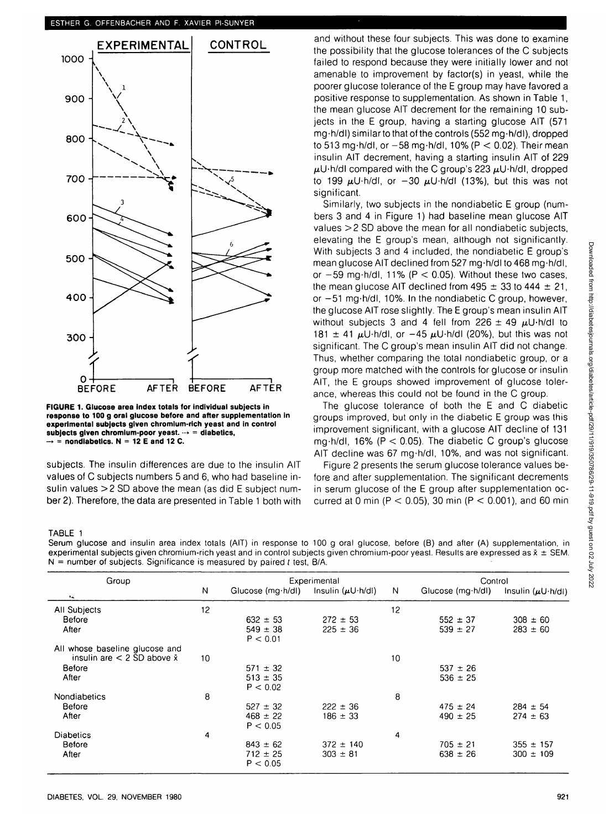

**FIGURE 1. Glucose area index totals for individual subjects in response to 100 g oral glucose before and after supplementation in experimental subjects given chromium-rich yeast and in control** subjects given chromium-poor yeast.  $\rightarrow$  = diabetics,  $\rightarrow$  = nondiabetics. N = 12 E and 12 C.

subjects. The insulin differences are due to the insulin AIT values of C subjects numbers 5 and 6, who had baseline insulin values >2 SD above the mean (as did E subject number 2). Therefore, the data are presented in Table 1 both with and without these four subjects. This was done to examine the possibility that the glucose tolerances of the C subjects failed to respond because they were initially lower and not amenable to improvement by factor(s) in yeast, while the poorer glucose tolerance of the E group may have favored a positive response to supplementation. As shown in Table 1, the mean glucose AIT decrement for the remaining 10 subjects in the E group, having a starting glucose AIT (571 mg-h/dl) similar to that of the controls (552 mg-h/dl), dropped to 513 mg·h/dl, or  $-58$  mg·h/dl, 10% (P  $<$  0.02). Their mean insulin AIT decrement, having a starting insulin AIT of 229  $\mu$ U-h/dl compared with the C group's 223  $\mu$ U-h/dl, dropped to 199  $\mu$ U-h/dl, or  $-30$   $\mu$ U-h/dl (13%), but this was not significant.

Similarly, two subjects in the nondiabetic E group (numbers 3 and 4 in Figure 1) had baseline mean glucose AIT values >2 SD above the mean for all nondiabetic subjects, elevating the E group's mean, although not significantly. With subjects 3 and 4 included, the nondiabetic E group's mean glucose AIT declined from 527 mg-h/dl to 468 mg-h/dl, or  $-59$  mg $\cdot$ h/dl, 11% (P < 0.05). Without these two cases, the mean glucose AIT declined from 495  $\pm$  33 to 444  $\pm$  21, or -51 mg-h/dl, 10%. In the nondiabetic C group, however, the glucose AIT rose slightly. The E group's mean insulin AIT without subjects 3 and 4 fell from 226  $\pm$  49  $\mu$ U-h/dl to 181  $\pm$  41  $\mu$ U·h/dl, or -45  $\mu$ U·h/dl (20%), but this was not significant. The C group's mean insulin AIT did not change. Thus, whether comparing the total nondiabetic group, or a group more matched with the controls for glucose or insulin AIT, the E groups showed improvement of glucose tolerance, whereas this could not be found in the C group.

The glucose tolerance of both the E and C diabetic groups improved, but only in the diabetic E group was this improvement significant, with a glucose AIT decline of 131 mg $\cdot$ h/dl, 16% (P < 0.05). The diabetic C group's glucose AIT decline was 67 mg-h/dl, 10%, and was not significant.

Figure 2 presents the serum glucose tolerance values before and after supplementation. The significant decrements in serum glucose of the E group after supplementation occurred at 0 min ( $P < 0.05$ ), 30 min ( $P < 0.001$ ), and 60 min

## TABLE 1

Serum glucose and insulin area index totals (AIT) in response to 100 g oral glucose, before (B) and after (A) supplementation, in experimental subjects given chromium-rich yeast and in control subjects given chromium-poor yeast. Results are expressed as  $\tilde{x} \pm$  SEM.  $N =$  number of subjects. Significance is measured by paired t test, B/A.

| Group                                |    | Experimental      |                             |    | Control                  |                             |  |
|--------------------------------------|----|-------------------|-----------------------------|----|--------------------------|-----------------------------|--|
| ь.                                   | N  | Glucose (mg·h/dl) | Insulin $(\mu U \cdot h/d)$ | N  | Glucose $(mg \cdot h/d)$ | Insulin $(\mu U \cdot h/d)$ |  |
| All Subjects                         | 12 |                   |                             | 12 |                          |                             |  |
| Before                               |    | $632 \pm 53$      | $272 \pm 53$                |    | $552 \pm 37$             | $308 \pm 60$                |  |
| After                                |    | $549 \pm 38$      | $225 \pm 36$                |    | $539 \pm 27$             | $283 \pm 60$                |  |
|                                      |    | P < 0.01          |                             |    |                          |                             |  |
| All whose baseline glucose and       |    |                   |                             |    |                          |                             |  |
| insulin are $<$ 2 SD above $\bar{x}$ | 10 |                   |                             | 10 |                          |                             |  |
| Before                               |    | $571 \pm 32$      |                             |    | $537 \pm 26$             |                             |  |
| After                                |    | $513 \pm 35$      |                             |    | $536 \pm 25$             |                             |  |
|                                      |    | P < 0.02          |                             |    |                          |                             |  |
| Nondiabetics                         | 8  |                   |                             | 8  |                          |                             |  |
| <b>Before</b>                        |    | $527 \pm 32$      | $222 \pm 36$                |    | $475 \pm 24$             | $284 \pm 54$                |  |
| After                                |    | $468 \pm 22$      | $186 \pm 33$                |    | $490 \pm 25$             | $274 \pm 63$                |  |
|                                      |    | P < 0.05          |                             |    |                          |                             |  |
| <b>Diabetics</b>                     | 4  |                   |                             | 4  |                          |                             |  |
| <b>Before</b>                        |    | $843 \pm 62$      | $372 \pm 140$               |    | $705 \pm 21$             | $355 \pm 157$               |  |
| After                                |    | $712 \pm 25$      | $303 \pm 81$                |    | $638 \pm 26$             | $300 \pm 109$               |  |
|                                      |    | P < 0.05          |                             |    |                          |                             |  |
|                                      |    |                   |                             |    |                          |                             |  |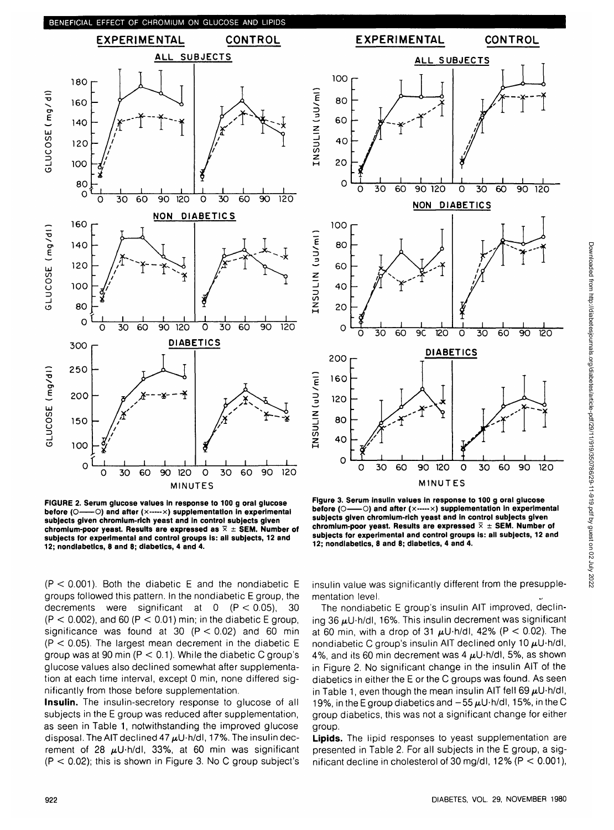

**FIGURE 2. Serum glucose values In response to 100 g oral glucose before (O—O) and after (x-----x) supplementation in experimental subjects given chromium-rich yeast and in control subjects given** chromium-poor yeast. Results are expressed as  $\overline{X} \pm$  SEM. Number of **subjects for experimental and control groups is: all subjects, 12 and 12; nondiabetics, 8 and 8; diabetics, 4 and 4.**



**Insulin.** The insulin-secretory response to glucose of all subjects in the E group was reduced after supplementation, as seen in Table 1, notwithstanding the improved glucose disposal. The AIT declined 47  $\mu$ U-h/dl, 17%. The insulin decrement of 28  $\mu$ U·h/dl, 33%, at 60 min was significant  $(P < 0.02)$ ; this is shown in Figure 3. No C group subject's



**Figure 3. Serum insulin values in response to 100 g oral glucose b**( $\circ$ ) and after (x-----x) supplementation in experimental **subjects given chromium-rich yeast and in control subjects given** chromium-poor yeast. Results are expressed  $\bar{x} \pm$  SEM. Number of **subjects for experimental and control groups is: all subjects, 12 and 12; nondiabetics, 8 and 8; diabetics, 4 and 4.**

insulin value was significantly different from the presupplementation level.

The nondiabetic E group's insulin AIT improved, declining 36  $\mu$ U·h/dl, 16%. This insulin decrement was significant at 60 min, with a drop of 31  $\mu$ U-h/dl, 42% (P < 0.02). The nondiabetic C group's insulin AIT declined only 10  $\mu$ U-h/dl, 4%, and its 60 min decrement was 4  $\mu$ U·h/dl, 5%, as shown in Figure 2. No significant change in the insulin AIT of the diabetics in either the E or the C groups was found. As seen in Table 1, even though the mean insulin AIT fell 69  $\mu$ U $\cdot$ h/dl, 19%, in the E group diabetics and  $-55\,\mu$ U·h/dl, 15%, in the C group diabetics, this was not a significant change for either group.

**Lipids.** The lipid responses to yeast supplementation are presented in Table 2. For all subjects in the E group, a significant decline in cholesterol of 30 mg/dl,  $12\%$  (P < 0.001),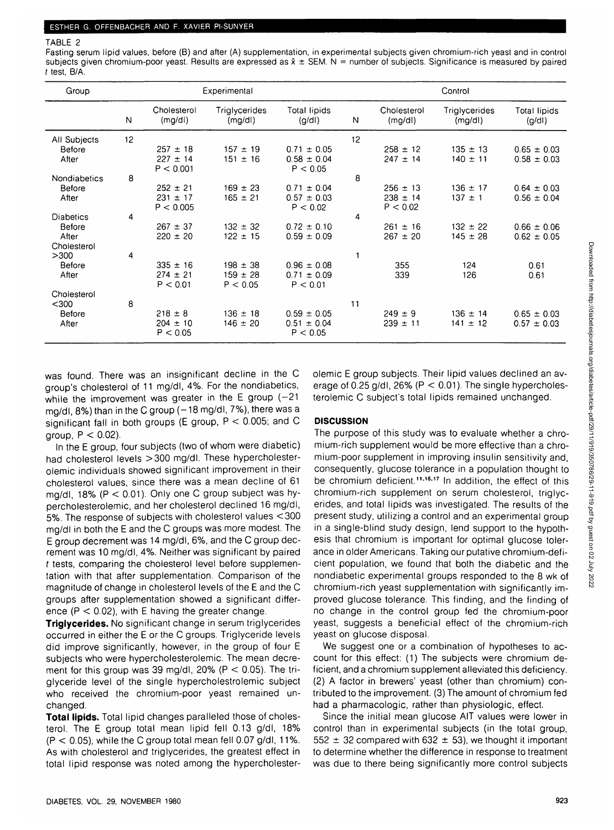## TABLE 2

Fasting serum lipid values, before (B) and after (A) supplementation, in experimental subjects given chromium-rich yeast and in control subjects given chromium-poor yeast. Results are expressed as  $\bar{x} \pm$  SEM. N = number of subjects. Significance is measured by paired t test, B/A.

| Group               |    | Experimental          |                         |                              |    | Control               |                         |                              |  |
|---------------------|----|-----------------------|-------------------------|------------------------------|----|-----------------------|-------------------------|------------------------------|--|
|                     | N  | Cholesterol<br>(mg/d) | Triglycerides<br>(mg/d) | <b>Total lipids</b><br>(g/d) | N  | Cholesterol<br>(mg/d) | Triglycerides<br>(mg/d) | <b>Total lipids</b><br>(g/d) |  |
| All Subjects        | 12 |                       |                         |                              | 12 |                       |                         |                              |  |
| Before              |    | $257 \pm 18$          | $157 \pm 19$            | $0.71 \pm 0.05$              |    | $258 \pm 12$          | $135 \pm 13$            | $0.65 \pm 0.03$              |  |
| After               |    | $227 \pm 14$          | $151 \pm 16$            | $0.58 \pm 0.04$              |    | $247 \pm 14$          | $140 \pm 11$            | $0.58 \pm 0.03$              |  |
|                     |    | P < 0.001             |                         | P < 0.05                     |    |                       |                         |                              |  |
| <b>Nondiabetics</b> | 8  |                       |                         |                              | 8  |                       |                         |                              |  |
| <b>Before</b>       |    | $252 \pm 21$          | $169 \pm 23$            | $0.71 \pm 0.04$              |    | $256 \pm 13$          | $136 \pm 17$            | $0.64 \pm 0.03$              |  |
| After               |    | $231 \pm 17$          | $165 \pm 21$            | $0.57 \pm 0.03$              |    | $238 \pm 14$          | $137 \pm 1$             | $0.56 \pm 0.04$              |  |
|                     |    | P < 0.005             |                         | P < 0.02                     |    | P < 0.02              |                         |                              |  |
| <b>Diabetics</b>    | 4  |                       |                         |                              | 4  |                       |                         |                              |  |
| Before              |    | $267 \pm 37$          | $132 \pm 32$            | $0.72 \pm 0.10$              |    | $261 \pm 16$          | $132 \pm 22$            | $0.66 \pm 0.06$              |  |
| After               |    | $220 \pm 20$          | $122 \pm 15$            | $0.59 \pm 0.09$              |    | $267 \pm 20$          | $145 \pm 28$            | $0.62 \pm 0.05$              |  |
| Cholesterol         |    |                       |                         |                              |    |                       |                         |                              |  |
| >300                | 4  |                       |                         |                              |    |                       |                         |                              |  |
| Before              |    | $335 \pm 16$          | $198 \pm 38$            | $0.96 \pm 0.08$              |    | 355                   | 124                     | 0.61                         |  |
| After               |    | $274 \pm 21$          | $159 \pm 28$            | $0.71 \pm 0.09$              |    | 339                   | 126                     | 0.61                         |  |
|                     |    | P < 0.01              | P < 0.05                | P < 0.01                     |    |                       |                         |                              |  |
| Cholesterol         |    |                       |                         |                              |    |                       |                         |                              |  |
| $300$               | 8  |                       |                         |                              | 11 |                       |                         |                              |  |
| Before              |    | $218 \pm 8$           | $136 \pm 18$            | $0.59 \pm 0.05$              |    | $249 \pm 9$           | $136 \pm 14$            | $0.65 \pm 0.03$              |  |
| After               |    | $204 \pm 10$          | $146 \pm 20$            | $0.51 \pm 0.04$              |    | $239 \pm 11$          | $141 \pm 12$            | $0.57 \pm 0.03$              |  |
|                     |    | P < 0.05              |                         | P < 0.05                     |    |                       |                         |                              |  |

was found. There was an insignificant decline in the C group's cholesterol of 11 mg/dl, 4%. For the nondiabetics, while the improvement was greater in the  $E$  group (-21 mg/dl,  $8\%$ ) than in the C group ( $-18$  mg/dl,  $7\%$ ), there was a significant fall in both groups (E group,  $P < 0.005$ ; and C group,  $P < 0.02$ ).

In the E group, four subjects (two of whom were diabetic) had cholesterol levels >300 mg/dl. These hypercholesterolemic individuals showed significant improvement in their cholesterol values, since there was a mean decline of 61 mg/dl,  $18\%$  (P < 0.01). Only one C group subject was hypercholesterolemic, and her cholesterol declined 16 mg/dl, 5%. The response of subjects with cholesterol values <300 mg/dl in both the E and the C groups was more modest. The E group decrement was 14 mg/dl, 6%, and the C group decrement was 10 mg/dl, 4%. Neither was significant by paired t tests, comparing the cholesterol level before supplementation with that after supplementation. Comparison of the magnitude of change in cholesterol levels of the E and the C groups after supplementation showed a significant difference ( $P < 0.02$ ), with E having the greater change.

**Triglycerides.** No significant change in serum triglycerides occurred in either the E or the C groups. Triglyceride levels did improve significantly, however, in the group of four E subjects who were hypercholesterolemic. The mean decrement for this group was 39 mg/dl,  $20\%$  (P  $<$  0.05). The triglyceride level of the single hypercholestrolemic subject who received the chromium-poor yeast remained unchanged.

**Total lipids.** Total lipid changes paralleled those of cholesterol. The E group total mean lipid fell 0.13 g/dl, 18%  $(P < 0.05)$ , while the C group total mean fell 0.07 g/dl, 11%. As with cholesterol and triglycerides, the greatest effect in total lipid response was noted among the hypercholesterolemic E group subjects. Their lipid values declined an average of 0.25 g/dl, 26% ( $P < 0.01$ ). The single hypercholesterolemic C subject's total lipids remained unchanged.

# **DISCUSSION**

The purpose of this study was to evaluate whether a chromium-rich supplement would be more effective than a chromium-poor supplement in improving insulin sensitivity and, consequently, glucose tolerance in a population thought to be chromium deficient.<sup>11,16,17</sup> In addition, the effect of this chromium-rich supplement on serum cholesterol, triglycerides, and total lipids was investigated. The results of the present study, utilizing a control and an experimental group in a single-blind study design, lend support to the hypothesis that chromium is important for optimal glucose tolerance in older Americans. Taking our putative chromium-deficient population, we found that both the diabetic and the nondiabetic experimental groups responded to the 8 wk of chromium-rich yeast supplementation with significantly improved glucose tolerance. This finding, and the finding of no change in the control group fed the chromium-poor yeast, suggests a beneficial effect of the chromium-rich yeast on glucose disposal.

We suggest one or a combination of hypotheses to account for this effect: (1) The subjects were chromium deficient, and a chromium supplement alleviated this deficiency. (2) A factor in brewers' yeast (other than chromium) contributed to the improvement. (3) The amount of chromium fed had a pharmacologic, rather than physiologic, effect.

Since the initial mean glucose AIT values were lower in control than in experimental subjects (in the total group, 552  $\pm$  32 compared with 632  $\pm$  53), we thought it important to determine whether the difference in response to treatment was due to there being significantly more control subjects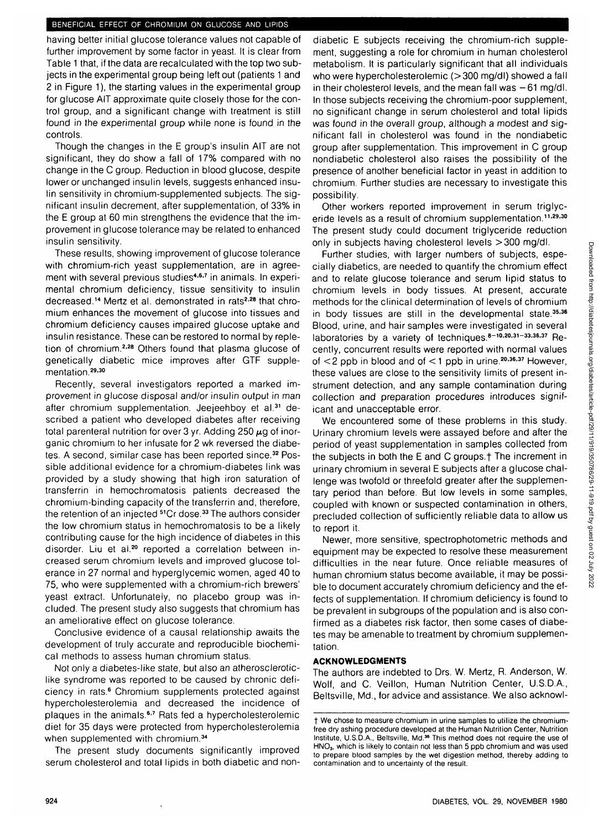#### BENEFICIAL EFFECT OF CHROMIUM ON GLUCOSE AND LIPIDS

having better initial glucose tolerance values not capable of further improvement by some factor in yeast. It is clear from Table 1 that, if the data are recalculated with the top two subjects in the experimental group being left out (patients 1 and 2 in Figure 1), the starting values in the experimental group for glucose AIT approximate quite closely those for the control group, and a significant change with treatment is still found in the experimental group while none is found in the controls.

Though the changes in the E group's insulin AIT are not significant, they do show a fall of 17% compared with no change in the C group. Reduction in blood glucose, despite lower or unchanged insulin levels, suggests enhanced insulin sensitivity in chromium-supplemented subjects. The significant insulin decrement, after supplementation, of 33% in the E group at 60 min strengthens the evidence that the improvement in glucose tolerance may be related to enhanced insulin sensitivity.

These results, showing improvement of glucose tolerance with chromium-rich yeast supplementation, are in agreement with several previous studies<sup>4,6,7</sup> in animals. In experimental chromium deficiency, tissue sensitivity to insulin decreased.<sup>14</sup> Mertz et al. demonstrated in rats<sup>2,28</sup> that chromium enhances the movement of glucose into tissues and chromium deficiency causes impaired glucose uptake and insulin resistance. These can be restored to normal by repletion of chromium.<sup>2,28</sup> Others found that plasma glucose of genetically diabetic mice improves after GTF supplementation.<sup>29,30</sup>

Recently, several investigators reported a marked improvement in glucose disposal and/or insulin output in man after chromium supplementation. Jeejeehboy et al.<sup>31</sup> described a patient who developed diabetes after receiving total parenteral nutrition for over 3 yr. Adding 250  $\mu$ g of inorganic chromium to her infusate for 2 wk reversed the diabetes. A second, similar case has been reported since.<sup>32</sup> Possible additional evidence for a chromium-diabetes link was provided by a study showing that high iron saturation of transferrin in hemochromatosis patients decreased the chromium-binding capacity of the transferrin and, therefore, the retention of an injected <sup>51</sup>Cr dose.<sup>33</sup> The authors consider the low chromium status in hemochromatosis to be a likely contributing cause for the high incidence of diabetes in this disorder. Liu et al.<sup>20</sup> reported a correlation between increased serum chromium levels and improved glucose tolerance in 27 normal and hyperglycemic women, aged 40 to 75, who were supplemented with a chromium-rich brewers' yeast extract. Unfortunately, no placebo group was included. The present study also suggests that chromium has an ameliorative effect on glucose tolerance.

Conclusive evidence of a causal relationship awaits the development of truly accurate and reproducible biochemical methods to assess human chromium status.

Not only a diabetes-like state, but also an atheroscleroticlike syndrome was reported to be caused by chronic deficiency in rats.<sup>6</sup> Chromium supplements protected against hypercholesterolemia and decreased the incidence of plaques in the animals.<sup>6,7</sup> Rats fed a hypercholesterolemic diet for 35 days were protected from hypercholesterolemia when supplemented with chromium.<sup>34</sup>

The present study documents significantly improved serum cholesterol and total lipids in both diabetic and non-

diabetic E subjects receiving the chromium-rich supplement, suggesting a role for chromium in human cholesterol metabolism. It is particularly significant that all individuals who were hypercholesterolemic (>300 mg/dl) showed a fall in their cholesterol levels, and the mean fall was  $-61$  mg/dl. In those subjects receiving the chromium-poor supplement, no significant change in serum cholesterol and total lipids was found in the overall group, although a modest and significant fall in cholesterol was found in the nondiabetic group after supplementation. This improvement in C group nondiabetic cholesterol also raises the possibility of the presence of another beneficial factor in yeast in addition to chromium. Further studies are necessary to investigate this possibility.

Other workers reported improvement in serum triglyceride levels as a result of chromium supplementation.<sup>11,29,30</sup> The present study could document triglyceride reduction only in subjects having cholesterol levels >300 mg/dl.

Further studies, with larger numbers of subjects, especially diabetics, are needed to quantify the chromium effect and to relate glucose tolerance and serum lipid status to chromium levels in body tissues. At present, accurate methods for the clinical determination of levels of chromium in body tissues are still in the developmental state.<sup>35,36</sup> Blood, urine, and hair samples were investigated in several laboratories by a variety of techniques.<sup>8-10,20,31-33,36,37</sup> Recently, concurrent results were reported with normal values of  $\lt 2$  ppb in blood and of  $\lt 1$  ppb in urine.<sup>20,36,37</sup> However, these values are close to the sensitivity limits of present instrument detection, and any sample contamination during collection and preparation procedures introduces significant and unacceptable error.

We encountered some of these problems in this study. Urinary chromium levels were assayed before and after the period of yeast supplementation in samples collected from the subjects in both the E and C groups.<sup>†</sup> The increment in urinary chromium in several E subjects after a glucose challenge was twofold or threefold greater after the supplementary period than before. But low levels in some samples, coupled with known or suspected contamination in others, precluded collection of sufficiently reliable data to allow us to report it.

Newer, more sensitive, spectrophotometric methods and equipment may be expected to resolve these measurement difficulties in the near future. Once reliable measures of human chromium status become available, it may be possible to document accurately chromium deficiency and the effects of supplementation. If chromium deficiency is found to be prevalent in subgroups of the population and is also confirmed as a diabetes risk factor, then some cases of diabetes may be amenable to treatment by chromium supplementation.

## **ACKNOWLEDGMENTS**

The authors are indebted to Drs. W. Mertz, R. Anderson, W. Wolf, and C. Veillon, Human Nutrition Center, U.S.D.A., Beltsville, Md., for advice and assistance. We also acknowl-

t We chose to measure chromium in urine samples to utilize the chromiumfree dry ashing procedure developed at the Human Nutrition Center, Nutrition Institute, U.S.D.A., Beltsville, Md.<sup>36</sup> This method does not require the use of HNO<sub>3</sub>, which is likely to contain not less than 5 ppb chromium and was used to prepare blood samples by the wet digestion method, thereby adding to contamination and to uncertainty of the result.